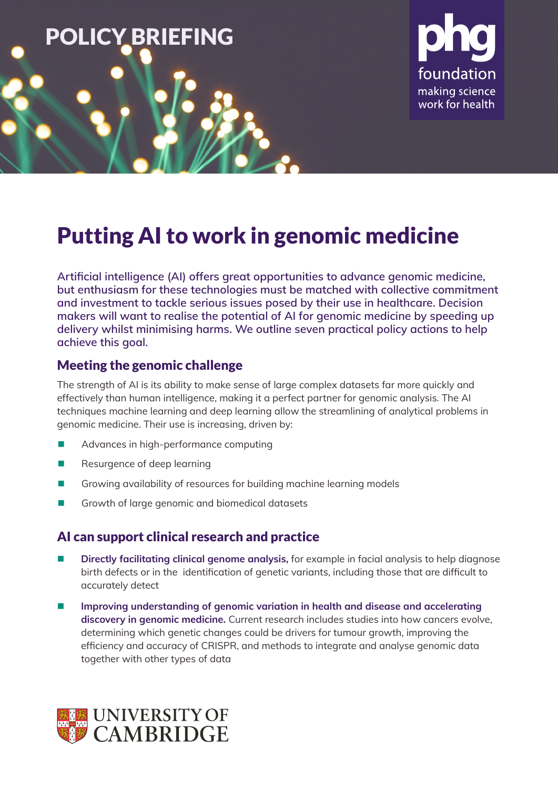



# Putting AI to work in genomic medicine

**Artificial intelligence (AI) offers great opportunities to advance genomic medicine, but enthusiasm for these technologies must be matched with collective commitment and investment to tackle serious issues posed by their use in healthcare. Decision makers will want to realise the potential of AI for genomic medicine by speeding up delivery whilst minimising harms. We outline seven practical policy actions to help achieve this goal.**

### Meeting the genomic challenge

The strength of AI is its ability to make sense of large complex datasets far more quickly and effectively than human intelligence, making it a perfect partner for genomic analysis. The AI techniques machine learning and deep learning allow the streamlining of analytical problems in genomic medicine. Their use is increasing, driven by:

- Advances in high-performance computing
- Resurgence of deep learning
- Growing availability of resources for building machine learning models
- Growth of large genomic and biomedical datasets

### AI can support clinical research and practice

- **Directly facilitating clinical genome analysis,** for example in facial analysis to help diagnose birth defects or in the identification of genetic variants, including those that are difficult to accurately detect
- **Improving understanding of genomic variation in health and disease and accelerating discovery in genomic medicine.** Current research includes studies into how cancers evolve, determining which genetic changes could be drivers for tumour growth, improving the efficiency and accuracy of CRISPR, and methods to integrate and analyse genomic data together with other types of data